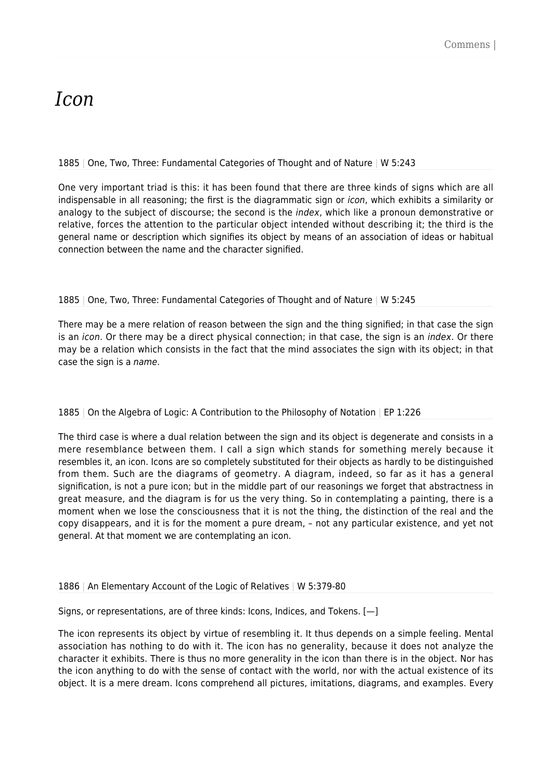# *Icon*

# 1885 | One, Two, Three: Fundamental Categories of Thought and of Nature | W 5:243

One very important triad is this: it has been found that there are three kinds of signs which are all indispensable in all reasoning; the first is the diagrammatic sign or icon, which exhibits a similarity or analogy to the subject of discourse; the second is the *index*, which like a pronoun demonstrative or relative, forces the attention to the particular object intended without describing it; the third is the general name or description which signifies its object by means of an association of ideas or habitual connection between the name and the character signified.

# 1885 | One, Two, Three: Fundamental Categories of Thought and of Nature | W 5:245

There may be a mere relation of reason between the sign and the thing signified; in that case the sign is an *icon*. Or there may be a direct physical connection; in that case, the sign is an *index*. Or there may be a relation which consists in the fact that the mind associates the sign with its object; in that case the sign is a name.

# 1885 | On the Algebra of Logic: A Contribution to the Philosophy of Notation | EP 1:226

The third case is where a dual relation between the sign and its object is degenerate and consists in a mere resemblance between them. I call a sign which stands for something merely because it resembles it, an icon. Icons are so completely substituted for their objects as hardly to be distinguished from them. Such are the diagrams of geometry. A diagram, indeed, so far as it has a general signification, is not a pure icon; but in the middle part of our reasonings we forget that abstractness in great measure, and the diagram is for us the very thing. So in contemplating a painting, there is a moment when we lose the consciousness that it is not the thing, the distinction of the real and the copy disappears, and it is for the moment a pure dream, – not any particular existence, and yet not general. At that moment we are contemplating an icon.

#### 1886 | An Elementary Account of the Logic of Relatives | W 5:379-80

Signs, or representations, are of three kinds: Icons, Indices, and Tokens. [—]

The icon represents its object by virtue of resembling it. It thus depends on a simple feeling. Mental association has nothing to do with it. The icon has no generality, because it does not analyze the character it exhibits. There is thus no more generality in the icon than there is in the object. Nor has the icon anything to do with the sense of contact with the world, nor with the actual existence of its object. It is a mere dream. Icons comprehend all pictures, imitations, diagrams, and examples. Every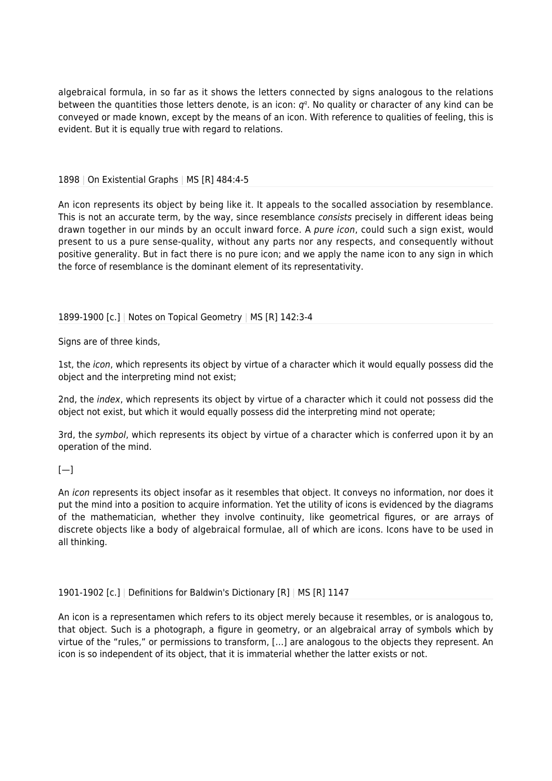algebraical formula, in so far as it shows the letters connected by signs analogous to the relations between the quantities those letters denote, is an icon:  $q^q$ . No quality or character of any kind can be conveyed or made known, except by the means of an icon. With reference to qualities of feeling, this is evident. But it is equally true with regard to relations.

1898 | On Existential Graphs | MS [R] 484:4-5

An icon represents its object by being like it. It appeals to the socalled association by resemblance. This is not an accurate term, by the way, since resemblance consists precisely in different ideas being drawn together in our minds by an occult inward force. A pure icon, could such a sign exist, would present to us a pure sense-quality, without any parts nor any respects, and consequently without positive generality. But in fact there is no pure icon; and we apply the name icon to any sign in which the force of resemblance is the dominant element of its representativity.

# 1899-1900 [c.] | Notes on Topical Geometry | MS [R] 142:3-4

Signs are of three kinds,

1st, the *icon*, which represents its object by virtue of a character which it would equally possess did the object and the interpreting mind not exist;

2nd, the index, which represents its object by virtue of a character which it could not possess did the object not exist, but which it would equally possess did the interpreting mind not operate;

3rd, the symbol, which represents its object by virtue of a character which is conferred upon it by an operation of the mind.

#### $[-]$

An *icon* represents its object insofar as it resembles that object. It conveys no information, nor does it put the mind into a position to acquire information. Yet the utility of icons is evidenced by the diagrams of the mathematician, whether they involve continuity, like geometrical figures, or are arrays of discrete objects like a body of algebraical formulae, all of which are icons. Icons have to be used in all thinking.

# 1901-1902 [c.] | Definitions for Baldwin's Dictionary [R] | MS [R] 1147

An icon is a representamen which refers to its object merely because it resembles, or is analogous to, that object. Such is a photograph, a figure in geometry, or an algebraical array of symbols which by virtue of the "rules," or permissions to transform, […] are analogous to the objects they represent. An icon is so independent of its object, that it is immaterial whether the latter exists or not.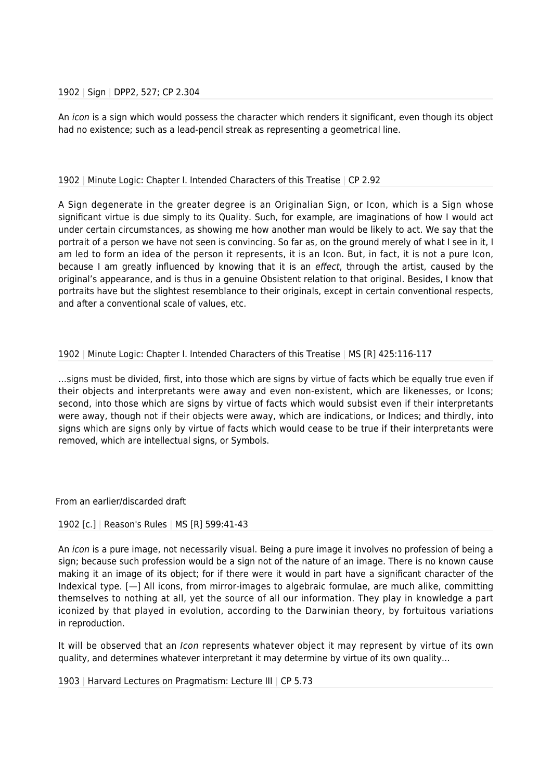#### 1902 | Sign | DPP2, 527; CP 2.304

An icon is a sign which would possess the character which renders it significant, even though its object had no existence; such as a lead-pencil streak as representing a geometrical line.

## 1902 | Minute Logic: Chapter I. Intended Characters of this Treatise | CP 2.92

A Sign degenerate in the greater degree is an Originalian Sign, or Icon, which is a Sign whose significant virtue is due simply to its Quality. Such, for example, are imaginations of how I would act under certain circumstances, as showing me how another man would be likely to act. We say that the portrait of a person we have not seen is convincing. So far as, on the ground merely of what I see in it, I am led to form an idea of the person it represents, it is an Icon. But, in fact, it is not a pure Icon, because I am greatly influenced by knowing that it is an effect, through the artist, caused by the original's appearance, and is thus in a genuine Obsistent relation to that original. Besides, I know that portraits have but the slightest resemblance to their originals, except in certain conventional respects, and after a conventional scale of values, etc.

# 1902 | Minute Logic: Chapter I. Intended Characters of this Treatise | MS [R] 425:116-117

…signs must be divided, first, into those which are signs by virtue of facts which be equally true even if their objects and interpretants were away and even non-existent, which are likenesses, or Icons; second, into those which are signs by virtue of facts which would subsist even if their interpretants were away, though not if their objects were away, which are indications, or Indices; and thirdly, into signs which are signs only by virtue of facts which would cease to be true if their interpretants were removed, which are intellectual signs, or Symbols.

From an earlier/discarded draft

#### 1902 [c.] | Reason's Rules | MS [R] 599:41-43

An icon is a pure image, not necessarily visual. Being a pure image it involves no profession of being a sign; because such profession would be a sign not of the nature of an image. There is no known cause making it an image of its object; for if there were it would in part have a significant character of the Indexical type. [—] All icons, from mirror-images to algebraic formulae, are much alike, committing themselves to nothing at all, yet the source of all our information. They play in knowledge a part iconized by that played in evolution, according to the Darwinian theory, by fortuitous variations in reproduction.

It will be observed that an *Icon* represents whatever object it may represent by virtue of its own quality, and determines whatever interpretant it may determine by virtue of its own quality…

1903 | Harvard Lectures on Pragmatism: Lecture III | CP 5.73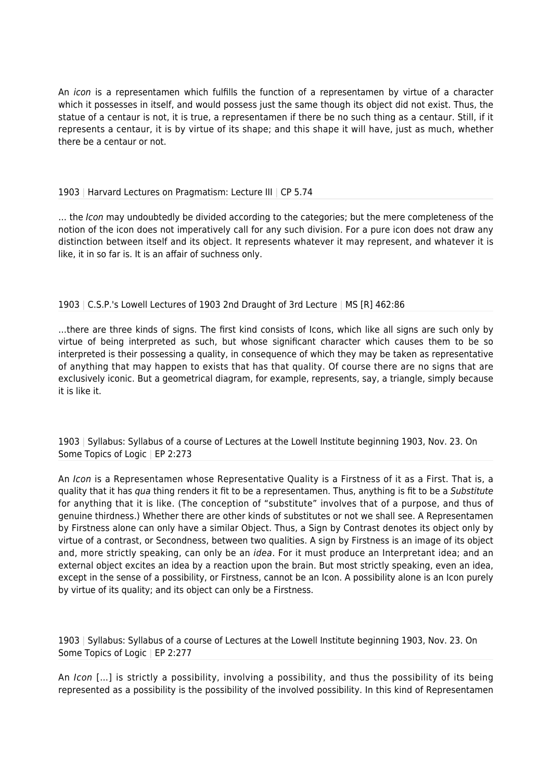An icon is a representamen which fulfills the function of a representamen by virtue of a character which it possesses in itself, and would possess just the same though its object did not exist. Thus, the statue of a centaur is not, it is true, a representamen if there be no such thing as a centaur. Still, if it represents a centaur, it is by virtue of its shape; and this shape it will have, just as much, whether there be a centaur or not.

## 1903 | Harvard Lectures on Pragmatism: Lecture III | CP 5.74

... the Icon may undoubtedly be divided according to the categories; but the mere completeness of the notion of the icon does not imperatively call for any such division. For a pure icon does not draw any distinction between itself and its object. It represents whatever it may represent, and whatever it is like, it in so far is. It is an affair of suchness only.

# 1903 | C.S.P.'s Lowell Lectures of 1903 2nd Draught of 3rd Lecture | MS [R] 462:86

…there are three kinds of signs. The first kind consists of Icons, which like all signs are such only by virtue of being interpreted as such, but whose significant character which causes them to be so interpreted is their possessing a quality, in consequence of which they may be taken as representative of anything that may happen to exists that has that quality. Of course there are no signs that are exclusively iconic. But a geometrical diagram, for example, represents, say, a triangle, simply because it is like it.

1903 | Syllabus: Syllabus of a course of Lectures at the Lowell Institute beginning 1903, Nov. 23. On Some Topics of Logic | EP 2:273

An Icon is a Representamen whose Representative Quality is a Firstness of it as a First. That is, a quality that it has qua thing renders it fit to be a representamen. Thus, anything is fit to be a Substitute for anything that it is like. (The conception of "substitute" involves that of a purpose, and thus of genuine thirdness.) Whether there are other kinds of substitutes or not we shall see. A Representamen by Firstness alone can only have a similar Object. Thus, a Sign by Contrast denotes its object only by virtue of a contrast, or Secondness, between two qualities. A sign by Firstness is an image of its object and, more strictly speaking, can only be an idea. For it must produce an Interpretant idea; and an external object excites an idea by a reaction upon the brain. But most strictly speaking, even an idea, except in the sense of a possibility, or Firstness, cannot be an Icon. A possibility alone is an Icon purely by virtue of its quality; and its object can only be a Firstness.

1903 | Syllabus: Syllabus of a course of Lectures at the Lowell Institute beginning 1903, Nov. 23. On Some Topics of Logic | EP 2:277

An Icon […] is strictly a possibility, involving a possibility, and thus the possibility of its being represented as a possibility is the possibility of the involved possibility. In this kind of Representamen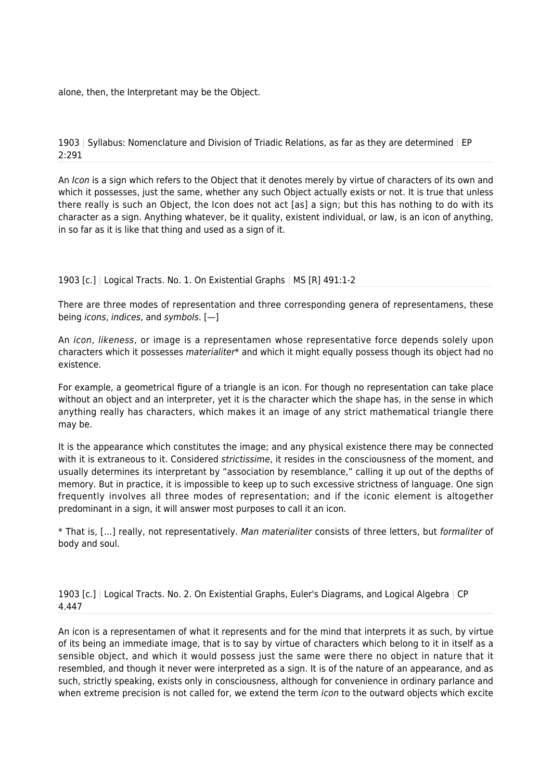alone, then, the Interpretant may be the Object.

# 1903 | Syllabus: Nomenclature and Division of Triadic Relations, as far as they are determined | EP 2:291

An Icon is a sign which refers to the Object that it denotes merely by virtue of characters of its own and which it possesses, just the same, whether any such Object actually exists or not. It is true that unless there really is such an Object, the Icon does not act [as] a sign; but this has nothing to do with its character as a sign. Anything whatever, be it quality, existent individual, or law, is an icon of anything, in so far as it is like that thing and used as a sign of it.

# 1903 [c.] | Logical Tracts. No. 1. On Existential Graphs | MS [R] 491:1-2

There are three modes of representation and three corresponding genera of representamens, these being icons, indices, and symbols. [—]

An icon, likeness, or image is a representamen whose representative force depends solely upon characters which it possesses materialiter\* and which it might equally possess though its object had no existence.

For example, a geometrical figure of a triangle is an icon. For though no representation can take place without an object and an interpreter, yet it is the character which the shape has, in the sense in which anything really has characters, which makes it an image of any strict mathematical triangle there may be.

It is the appearance which constitutes the image; and any physical existence there may be connected with it is extraneous to it. Considered strictissime, it resides in the consciousness of the moment, and usually determines its interpretant by "association by resemblance," calling it up out of the depths of memory. But in practice, it is impossible to keep up to such excessive strictness of language. One sign frequently involves all three modes of representation; and if the iconic element is altogether predominant in a sign, it will answer most purposes to call it an icon.

\* That is, […] really, not representatively. Man materialiter consists of three letters, but formaliter of body and soul.

# 1903 [c.] | Logical Tracts. No. 2. On Existential Graphs, Euler's Diagrams, and Logical Algebra | CP 4.447

An icon is a representamen of what it represents and for the mind that interprets it as such, by virtue of its being an immediate image, that is to say by virtue of characters which belong to it in itself as a sensible object, and which it would possess just the same were there no object in nature that it resembled, and though it never were interpreted as a sign. It is of the nature of an appearance, and as such, strictly speaking, exists only in consciousness, although for convenience in ordinary parlance and when extreme precision is not called for, we extend the term *icon* to the outward objects which excite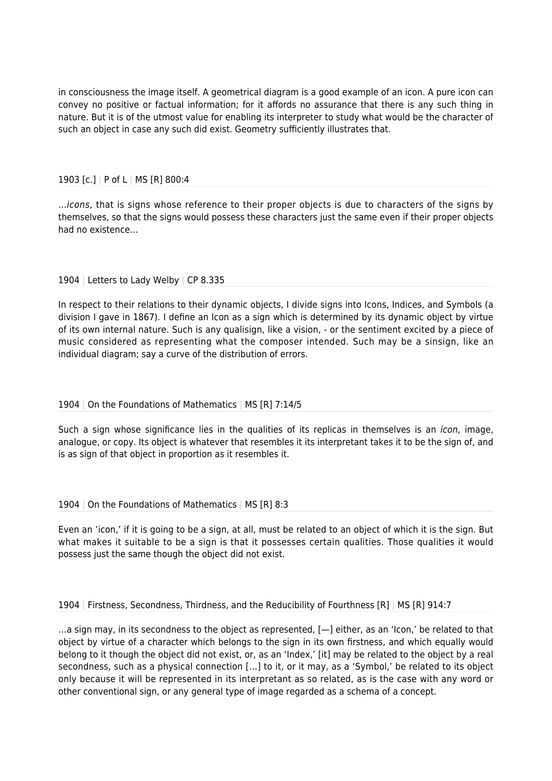in consciousness the image itself. A geometrical diagram is a good example of an icon. A pure icon can convey no positive or factual information; for it affords no assurance that there is any such thing in nature. But it is of the utmost value for enabling its interpreter to study what would be the character of such an object in case any such did exist. Geometry sufficiently illustrates that.

# 1903 [c.] | P of L | MS [R] 800:4

…icons, that is signs whose reference to their proper objects is due to characters of the signs by themselves, so that the signs would possess these characters just the same even if their proper objects had no existence…

# 1904 | Letters to Lady Welby | CP 8.335

In respect to their relations to their dynamic objects, I divide signs into Icons, Indices, and Symbols (a division I gave in 1867). I define an Icon as a sign which is determined by its dynamic object by virtue of its own internal nature. Such is any qualisign, like a vision, - or the sentiment excited by a piece of music considered as representing what the composer intended. Such may be a sinsign, like an individual diagram; say a curve of the distribution of errors.

#### 1904 | On the Foundations of Mathematics | MS [R] 7:14/5

Such a sign whose significance lies in the qualities of its replicas in themselves is an *icon*, image, analogue, or copy. Its object is whatever that resembles it its interpretant takes it to be the sign of, and is as sign of that object in proportion as it resembles it.

#### 1904 | On the Foundations of Mathematics | MS [R] 8:3

Even an 'icon,' if it is going to be a sign, at all, must be related to an object of which it is the sign. But what makes it suitable to be a sign is that it possesses certain qualities. Those qualities it would possess just the same though the object did not exist.

# 1904 | Firstness, Secondness, Thirdness, and the Reducibility of Fourthness [R] | MS [R] 914:7

…a sign may, in its secondness to the object as represented, [—] either, as an 'Icon,' be related to that object by virtue of a character which belongs to the sign in its own firstness, and which equally would belong to it though the object did not exist, or, as an 'Index,' [it] may be related to the object by a real secondness, such as a physical connection […] to it, or it may, as a 'Symbol,' be related to its object only because it will be represented in its interpretant as so related, as is the case with any word or other conventional sign, or any general type of image regarded as a schema of a concept.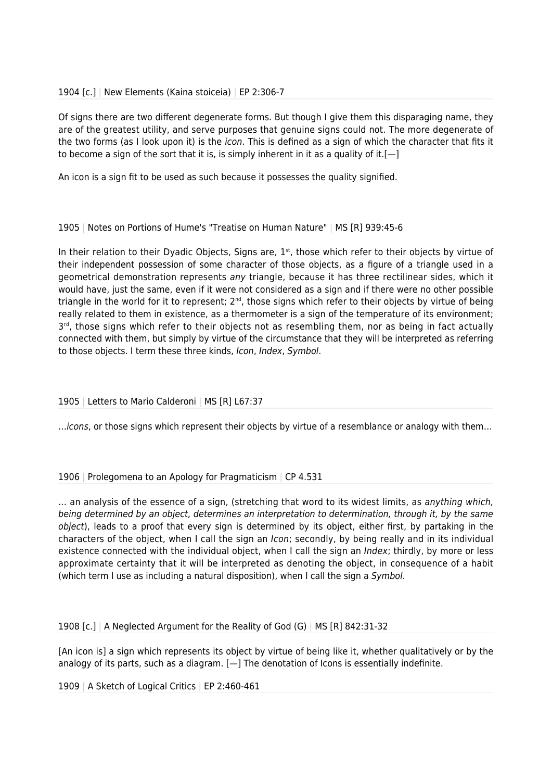## 1904 [c.] | New Elements (Kaina stoiceia) | EP 2:306-7

Of signs there are two different degenerate forms. But though I give them this disparaging name, they are of the greatest utility, and serve purposes that genuine signs could not. The more degenerate of the two forms (as I look upon it) is the *icon*. This is defined as a sign of which the character that fits it to become a sign of the sort that it is, is simply inherent in it as a quality of it.[ $-$ ]

An icon is a sign fit to be used as such because it possesses the quality signified.

#### 1905 | Notes on Portions of Hume's "Treatise on Human Nature" | MS [R] 939:45-6

In their relation to their Dyadic Objects, Signs are,  $1<sup>st</sup>$ , those which refer to their objects by virtue of their independent possession of some character of those objects, as a figure of a triangle used in a geometrical demonstration represents any triangle, because it has three rectilinear sides, which it would have, just the same, even if it were not considered as a sign and if there were no other possible triangle in the world for it to represent; 2<sup>nd</sup>, those signs which refer to their objects by virtue of being really related to them in existence, as a thermometer is a sign of the temperature of its environment; 3<sup>rd</sup>, those signs which refer to their objects not as resembling them, nor as being in fact actually connected with them, but simply by virtue of the circumstance that they will be interpreted as referring to those objects. I term these three kinds, Icon, Index, Symbol.

# 1905 | Letters to Mario Calderoni | MS [R] L67:37

…icons, or those signs which represent their objects by virtue of a resemblance or analogy with them…

# 1906 | Prolegomena to an Apology for Pragmaticism | CP 4.531

... an analysis of the essence of a sign, (stretching that word to its widest limits, as anything which, being determined by an object, determines an interpretation to determination, through it, by the same object), leads to a proof that every sign is determined by its object, either first, by partaking in the characters of the object, when I call the sign an Icon; secondly, by being really and in its individual existence connected with the individual object, when I call the sign an *Index*; thirdly, by more or less approximate certainty that it will be interpreted as denoting the object, in consequence of a habit (which term I use as including a natural disposition), when I call the sign a Symbol.

1908 [c.] | A Neglected Argument for the Reality of God (G) | MS [R] 842:31-32

[An icon is] a sign which represents its object by virtue of being like it, whether qualitatively or by the analogy of its parts, such as a diagram.  $[-]$  The denotation of Icons is essentially indefinite.

1909 | A Sketch of Logical Critics | EP 2:460-461